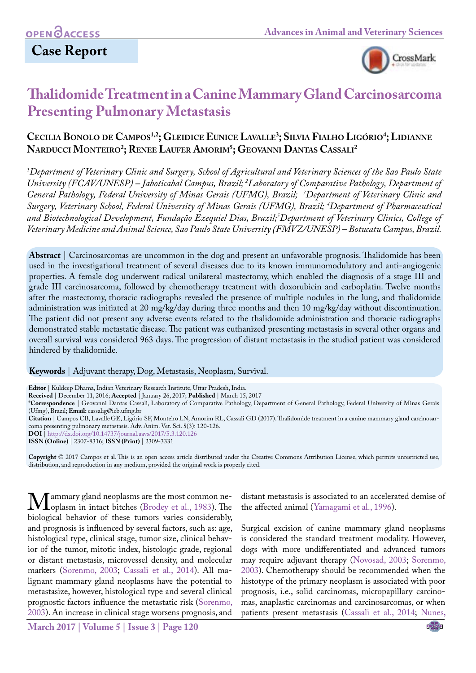# **Case Report**



# **Thalidomide Treatment in a Canine Mammary Gland Carcinosarcoma Presenting Pulmonary Metastasis**

# **Cecilia Bonolo de Campos1,2; Gleidice Eunice Lavalle3 ; Silvia Fialho Ligório4 ; Lidianne Narducci Monteiro2 ; Renee Laufer Amorim5 ; Geovanni Dantas Cassali2**

*1 Department of Veterinary Clinic and Surgery, School of Agricultural and Veterinary Sciences of the Sao Paulo State University (FCAV/UNESP) – Jaboticabal Campus, Brazil; 2 Laboratory of Comparative Pathology, Department of General Pathology, Federal University of Minas Gerais (UFMG), Brazil; 3 Department of Veterinary Clinic and Surgery, Veterinary School, Federal University of Minas Gerais (UFMG), Brazil; 4 Department of Pharmaceutical and Biotechnological Development, Fundação Ezequiel Dias, Brazil;5 Department of Veterinary Clinics, College of Veterinary Medicine and Animal Science, Sao Paulo State University (FMVZ/UNESP) – Botucatu Campus, Brazil.*

**Abstract** | Carcinosarcomas are uncommon in the dog and present an unfavorable prognosis. Thalidomide has been used in the investigational treatment of several diseases due to its known immunomodulatory and anti-angiogenic properties. A female dog underwent radical unilateral mastectomy, which enabled the diagnosis of a stage III and grade III carcinosarcoma, followed by chemotherapy treatment with doxorubicin and carboplatin. Twelve months after the mastectomy, thoracic radiographs revealed the presence of multiple nodules in the lung, and thalidomide administration was initiated at 20 mg/kg/day during three months and then 10 mg/kg/day without discontinuation. The patient did not present any adverse events related to the thalidomide administration and thoracic radiographs demonstrated stable metastatic disease. The patient was euthanized presenting metastasis in several other organs and overall survival was considered 963 days. The progression of distant metastasis in the studied patient was considered hindered by thalidomide.

**Keywords** | Adjuvant therapy, Dog, Metastasis, Neoplasm, Survival.

**Editor** | Kuldeep Dhama, Indian Veterinary Research Institute, Uttar Pradesh, India.

**Received** | December 11, 2016; **Accepted** | January 26, 2017; **Published** | March 15, 2017

\***Correspondence** | Geovanni Dantas Cassali, Laboratory of Comparative Pathology, Department of General Pathology, Federal University of Minas Gerais (Ufmg), Brazil; **Email:** cassalig@icb.ufmg.br

**Citation** | Campos CB, Lavalle GE, Ligório SF, MonteiroLN, Amorim RL, Cassali GD (2017). Thalidomide treatment in a canine mammary gland carcinosarcoma presenting pulmonary metastasis. Adv. Anim. Vet. Sci. 5(3): 120-126.

**DOI** | <http://dx.doi.org/10.14737/journal.aavs/2017/5.3.120.126>

**ISSN (Online)** | 2307-8316; **ISSN (Print)** | 2309-3331

**Copyright** © 2017 Campos et al. This is an open access article distributed under the Creative Commons Attribution License, which permits unrestricted use, distribution, and reproduction in any medium, provided the original work is properly cited.

Mammary gland neoplasms [are the most commo](#page-4-0)n ne-<br>hiological behavior of these tumors varies considerably biological behavior of these tumors varies considerably, and prognosis is influenced by several factors, such as: age, histological type, clinical stage, tumor size, clinical behavior of the tumor, mitotic index, histologic grade, regional or distant metastasis, microvessel density, and molecular markers [\(Sorenmo, 2003](#page-5-0); [Cassali et al., 2014\)](#page-4-1). All malignant mammary gland neoplasms have the potential to metastasize, however, histological type and several clinical prognostic factors influence the metastatic risk [\(Sorenmo,](#page-5-0) [2003\)](#page-5-0). An increase in clinical stage worsens prognosis, and

is considered the standard treatment modality. However, dogs with more undifferentiated and advanced tumors

may require adjuvant therapy ([Novosad, 2003](#page-5-1); [Sorenmo,](#page-5-0) [2003\)](#page-5-0). Chemotherapy should be recommended when the histotype of the primary neoplasm is associated with poor prognosis, i.e., solid carcinomas, micropapillary carcinomas, anaplastic carcinomas and carcinosarcomas, or when patients present metastasis ([Cassali et al., 2014](#page-4-1); Nunes,

distant metastasis is associated to an accelerated demise of

Surgical excision of canine mammary gland neoplasms

the affected animal ([Yamagami et al., 1996\)](#page-6-0).

**March 2017 | Volume 5 | Issue 3 | Page 120**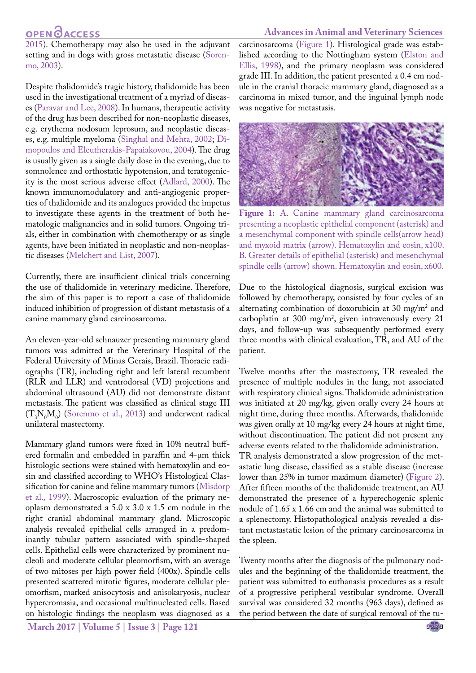#### **Advances in Animal and Veterinary Sciences**

# **OPEN GACCESS**

2015). Chemotherapy may also be used in the adjuvant setting and in dogs with gross metastatic disease [\(Soren](#page-5-0)[mo, 2003\)](#page-5-0).

Despite thalidomide's tragic history, thalidomide has been used in the investigational treatment of a myriad of diseases [\(Paravar and Lee, 2008\)](#page-5-2). In humans, therapeutic activity of the drug has been described for non-neoplastic diseases, e.g. erythema nodosum leprosum, and neoplastic diseases, e.g. multiple myeloma [\(Singhal and Mehta, 2002](#page-5-3); [Di](#page-5-4)[mopoulos and Eleutherakis-Papaiakovou, 2004\)](#page-5-4). The drug is usually given as a single daily dose in the evening, due to somnolence and orthostatic hypotension, and teratogenicity is the most serious adverse effect [\(Adlard, 2000](#page-4-2)). The known immunomodulatory and anti-angiogenic properties of thalidomide and its analogues provided the impetus to investigate these agents in the treatment of both hematologic malignancies and in solid tumors. Ongoing trials, either in combination with chemotherapy or as single agents, have been initiated in neoplastic and non-neoplastic diseases [\(Melchert and List, 2007\)](#page-5-5).

Currently, there are insufficient clinical trials concerning the use of thalidomide in veterinary medicine. Therefore, the aim of this paper is to report a case of thalidomide induced inhibition of progression of distant metastasis of a canine mammary gland carcinosarcoma.

An eleven-year-old schnauzer presenting mammary gland tumors was admitted at the Veterinary Hospital of the Federal University of Minas Gerais, Brazil. Thoracic radiographs (TR), including right and left lateral recumbent (RLR and LLR) and ventrodorsal (VD) projections and abdominal ultrasound (AU) did not demonstrate distant metastasis. The patient was classified as clinical stage III  $(T_3N_0M_0)$  ([Sorenmo et al., 2013\)](#page-5-6) and underwent radical unilateral mastectomy.

Mammary gland tumors were fixed in 10% neutral buffered formalin and embedded in paraffin and 4-µm thick histologic sections were stained with hematoxylin and eosin and classified according to WHO's Histological Classification for canine and feline mammary tumors (Misdorp et al., 1999). Macroscopic evaluation of the primary neoplasm demonstrated a 5.0 x 3.0 x 1.5 cm nodule in the right cranial abdominal mammary gland. Microscopic analysis revealed epithelial cells arranged in a predominantly tubular pattern associated with spindle-shaped cells. Epithelial cells were characterized by prominent nucleoli and moderate cellular pleomorfism, with an average of two mitoses per high power field (400x). Spindle cells presented scattered mitotic figures, moderate cellular pleomorfism, marked anisocytosis and anisokaryosis, nuclear hypercromasia, and occasional multinucleated cells. Based on histologic findings the neoplasm was diagnosed as a

carcinosarcoma [\(Figure 1\)](#page-1-0). Histological grade was established according to the Nottingham system [\(Elston and](#page-5-7) [Ellis, 1998](#page-5-7)), and the primary neoplasm was considered grade III. In addition, the patient presented a 0.4 cm nodule in the cranial thoracic mammary gland, diagnosed as a carcinoma in mixed tumor, and the inguinal lymph node was negative for metastasis.



**Figure 1:** A. Canine mammary gland carcinosarcoma presenting a neoplastic epithelial component (asterisk) and a mesenchymal component with spindle cells(arrow head) and myxoid matrix (arrow). Hematoxylin and eosin, x100. B. Greater details of epithelial (asterisk) and mesenchymal spindle cells (arrow) shown. Hematoxylin and eosin, x600.

<span id="page-1-0"></span>Due to the histological diagnosis, surgical excision was followed by chemotherapy, consisted by four cycles of an alternating combination of doxorubicin at 30 mg/m<sup>2</sup> and carboplatin at 300 mg/m2 , given intravenously every 21 days, and follow-up was subsequently performed every three months with clinical evaluation, TR, and AU of the patient.

Twelve months after the mastectomy, TR revealed the presence of multiple nodules in the lung, not associated with respiratory clinical signs. Thalidomide administration was initiated at 20 mg/kg, given orally every 24 hours at night time, during three months. Afterwards, thalidomide was given orally at 10 mg/kg every 24 hours at night time, without discontinuation. The patient did not present any adverse events related to the thalidomide administration. TR analysis demonstrated a slow progression of the metastatic lung disease, classified as a stable disease (increase lower than 25% in tumor maximum diameter) ([Figure 2](#page-2-0)). After fifteen months of the thalidomide treatment, an AU demonstrated the presence of a hyperechogenic splenic nodule of 1.65 x 1.66 cm and the animal was submitted to a splenectomy. Histopathological analysis revealed a distant metastastatic lesion of the primary carcinosarcoma in the spleen.

Twenty months after the diagnosis of the pulmonary nodules and the beginning of the thalidomide treatment, the patient was submitted to euthanasia procedures as a result of a progressive peripheral vestibular syndrome. Overall survival was considered 32 months (963 days), defined as the period between the date of surgical removal of the tu-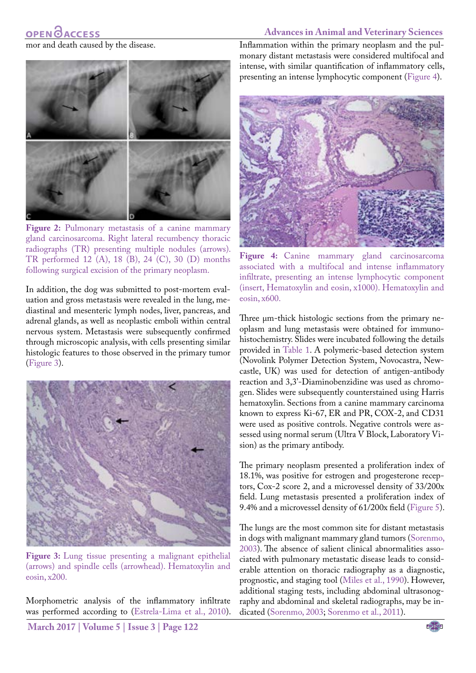#### mor and death caused by the disease.



**Figure 2:** Pulmonary metastasis of a canine mammary gland carcinosarcoma. Right lateral recumbency thoracic radiographs (TR) presenting multiple nodules (arrows). TR performed 12 (A), 18 (B), 24 (C), 30 (D) months following surgical excision of the primary neoplasm.

<span id="page-2-0"></span>In addition, the dog was submitted to post-mortem evaluation and gross metastasis were revealed in the lung, mediastinal and mesenteric lymph nodes, liver, pancreas, and adrenal glands, as well as neoplastic emboli within central nervous system. Metastasis were subsequently confirmed through microscopic analysis, with cells presenting similar histologic features to those observed in the primary tumor (Figure 3).



**Figure 3:** Lung tissue presenting a malignant epithelial (arrows) and spindle cells (arrowhead). Hematoxylin and eosin, x200.

Morphometric analysis of the inflammatory infiltrate was performed according to ([Estrela-Lima et al., 2010\)](#page-5-8). Inflammation within the primary neoplasm and the pulmonary distant metastasis were considered multifocal and intense, with similar quantification of inflammatory cells, presenting an intense lymphocytic component [\(Figure 4\)](#page-2-1).



Figure 4: Canine mammary gland carcinosarcoma associated with a multifocal and intense inflammatory infiltrate, presenting an intense lymphocytic component (insert, Hematoxylin and eosin, x1000). Hematoxylin and eosin, x600.

<span id="page-2-1"></span>Three  $\mu$ m-thick histologic sections from the primary neoplasm and lung metastasis were obtained for immunohistochemistry. Slides were incubated following the details provided in [Table 1](#page-3-0). A polymeric-based detection system (Novolink Polymer Detection System, Novocastra, Newcastle, UK) was used for detection of antigen-antibody reaction and 3,3'-Diaminobenzidine was used as chromogen. Slides were subsequently counterstained using Harris hematoxylin. Sections from a canine mammary carcinoma known to express Ki-67, ER and PR, COX-2, and CD31 were used as positive controls. Negative controls were assessed using normal serum (Ultra V Block, Laboratory Vision) as the primary antibody.

The primary neoplasm presented a proliferation index of 18.1%, was positive for estrogen and progesterone receptors, Cox-2 score 2, and a microvessel density of 33/200x field. Lung metastasis presented a proliferation index of 9.4% and a microvessel density of 61/200x field ([Figure 5\)](#page-3-1).

The lungs are the most common site for distant metastasis in dogs with malignant mammary gland tumors ([Sorenmo,](#page-5-0)  [2003\)](#page-5-0). The absence of salient clinical abnormalities associated with pulmonary metastatic disease leads to considerable attention on thoracic radiography as a diagnostic, prognostic, and staging tool ([Miles et al., 1990](#page-5-9)). However, additional staging tests, including abdominal ultrasonography and abdominal and skeletal radiographs, may be indicated ([Sorenmo, 2003;](#page-5-0) [Sorenmo et al., 2011](#page-5-6)).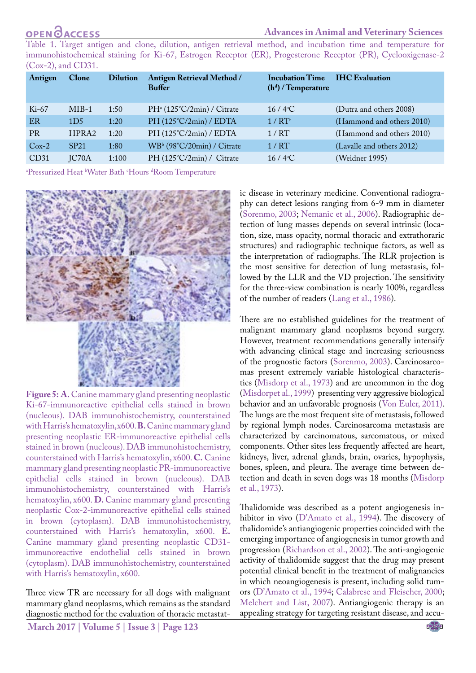# **OPENOACCESS**

#### **Advances in Animal and Veterinary Sciences**

<span id="page-3-0"></span>Table 1. Target antigen and clone, dilution, antigen retrieval method, and incubation time and temperature for immunohistochemical staining for Ki-67, Estrogen Receptor (ER), Progesterone Receptor (PR), Cyclooxigenase-2 (Cox-2), and CD31.

| Antigen   | Clone            | <b>Dilution</b> | Antigen Retrieval Method /<br><b>Buffer</b> | <b>Incubation Time</b><br>$(hd)$ / Temperature | <b>IHC</b> Evaluation     |
|-----------|------------------|-----------------|---------------------------------------------|------------------------------------------------|---------------------------|
| $Ki-67$   | $MIB-1$          | 1:50            | PH <sup>a</sup> (125°C/2min) / Citrate      | $16/4$ <sup>o</sup> C                          | (Dutra and others 2008)   |
| ER        | 1D <sub>5</sub>  | 1:20            | PH (125°C/2min) / EDTA                      | 1/RT                                           | (Hammond and others 2010) |
| <b>PR</b> | HPRA2            | 1:20            | PH $(125^{\circ}C/2min)$ / EDTA             | 1/RT                                           | (Hammond and others 2010) |
| $Cox-2$   | SP <sub>21</sub> | 1:80            | WBb (98°C/20min) / Citrate                  | 1/RT                                           | (Lavalle and others 2012) |
| CD31      | JC70A            | 1:100           | PH $(125^{\circ}C/2min)$ / Citrate          | $16/4$ <sup>o</sup> C                          | (Weidner 1995)            |

<sup>a</sup>Pressurized Heat <sup>b</sup>Water Bath 'Hours <sup>d</sup>Room Temperature



<span id="page-3-1"></span>**Figure 5: A.** Canine mammary gland presenting neoplastic Ki-67-immunoreactive epithelial cells stained in brown (nucleous). DAB immunohistochemistry, counterstained with Harris's hematoxylin, x600. **B.** Canine mammary gland presenting neoplastic ER-immunoreactive epithelial cells stained in brown (nucleous). DAB immunohistochemistry, counterstained with Harris's hematoxylin, x600. **C.** Canine mammary gland presenting neoplastic PR-immunoreactive epithelial cells stained in brown (nucleous). DAB immunohistochemistry, counterstained with Harris's hematoxylin, x600. **D.** Canine mammary gland presenting neoplastic Cox-2-immunoreactive epithelial cells stained in brown (cytoplasm). DAB immunohistochemistry, counterstained with Harris's hematoxylin, x600. **E.** Canine mammary gland presenting neoplastic CD31 immunoreactive endothelial cells stained in brown (cytoplasm). DAB immunohistochemistry, counterstained with Harris's hematoxylin, x600.

Three view TR are necessary for all dogs with malignant mammary gland neoplasms, which remains as the standard diagnostic method for the evaluation of thoracic metastatic disease in veterinary medicine. Conventional radiography can detect lesions ranging from 6-9 mm in diameter ([Sorenmo, 2003;](#page-5-0) [Nemanic et al., 2006](#page-5-10)). Radiographic detection of lung masses depends on several intrinsic (location, size, mass opacity, normal thoracic and extrathoraric structures) and radiographic technique factors, as well as the interpretation of radiographs. The RLR projection is the most sensitive for detection of lung metastasis, followed by the LLR and the VD projection. The sensitivity for the three-view combination is nearly 100%, regardless of the number of readers ([Lang et al., 1986](#page-5-11)).

There are no established guidelines for the treatment of malignant mammary gland neoplasms beyond surgery. However, treatment recommendations generally intensify with advancing clinical stage and increasing seriousness of the prognostic factors ([Sorenmo, 2003](#page-5-0)). Carcinosarcomas present extremely variable histological characteristics ([Misdorp et al., 1973\)](#page-5-12) and are uncommon in the dog (Misdorpet al., 1999) presenting very aggressive biological behavior and an unfavorable prognosis ([Von Euler, 2011](#page-5-13)). The lungs are the most frequent site of metastasis, followed by regional lymph nodes. Carcinosarcoma metastasis are characterized by carcinomatous, sarcomatous, or mixed components. Other sites less frequently affected are heart, kidneys, liver, adrenal glands, brain, ovaries, hypophysis, bones, spleen, and pleura. The average time between detection and death in seven dogs was 18 months [\(Misdorp](#page-5-12)  [et al., 1973](#page-5-12)).

Thalidomide was described as a potent angiogenesis inhibitor in vivo (D'Amato et al., 1994). The discovery of thalidomide's antiangiogenic properties coincided with the emerging importance of angiogenesis in tumor growth and progression [\(Richardson et al., 2002\)](#page-5-14). The anti-angiogenic activity of thalidomide suggest that the drug may present potential clinical benefit in the treatment of malignancies in which neoangiogenesis is present, including solid tumors (D'Amato et al., 1994; [Calabrese and Fleischer, 2000](#page-4-3); [Melchert and List, 2007](#page-5-5)). Antiangiogenic therapy is an appealing strategy for targeting resistant disease, and accu-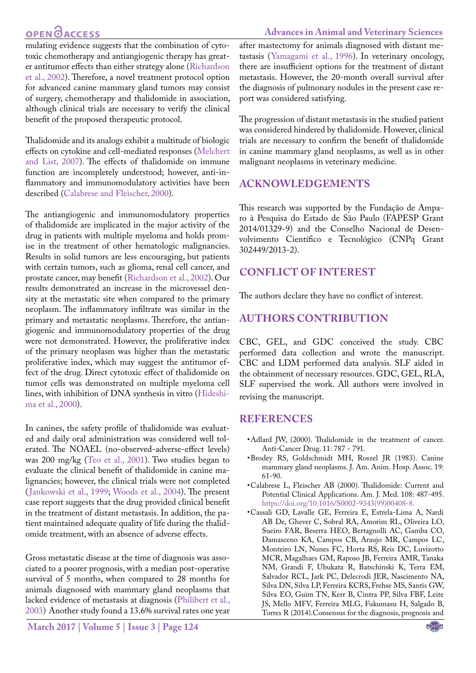# OPEN <u>OACCESS</u>

mulating evidence suggests that the combination of cytotoxic chemotherapy and antiangiogenic therapy has greater antitumor effects than either strategy alone ([Richardson](#page-5-14) [et al., 2002](#page-5-14)). Therefore, a novel treatment protocol option for advanced canine mammary gland tumors may consist of surgery, chemotherapy and thalidomide in association, although clinical trials are necessary to verify the clinical benefit of the proposed therapeutic protocol.

Thalidomide and its analogs exhibit a multitude of biologic effects on cytokine and cell-mediated responses [\(Melchert](#page-5-5) [and List, 2007](#page-5-5)). The effects of thalidomide on immune function are incompletely understood; however, anti-inflammatory and immunomodulatory activities have been described ([Calabrese and Fleischer, 2000\)](#page-4-3).

The antiangiogenic and immunomodulatory properties of thalidomide are implicated in the major activity of the drug in patients with multiple myeloma and holds promise in the treatment of other hematologic malignancies. Results in solid tumors are less encouraging, but patients with certain tumors, such as glioma, renal cell cancer, and prostate cancer, may benefit [\(Richardson et al., 2002](#page-5-14)). Our results demonstrated an increase in the microvessel density at the metastatic site when compared to the primary neoplasm. The inflammatory infiltrate was similar in the primary and metastatic neoplasms. Therefore, the antiangiogenic and immunomodulatory properties of the drug were not demonstrated. However, the proliferative index of the primary neoplasm was higher than the metastatic proliferative index, which may suggest the antitumor effect of the drug. Direct cytotoxic effect of thalidomide on tumor cells was demonstrated on multiple myeloma cell lines, with inhibition of DNA synthesis in vitro [\(Hideshi](#page-5-15)[ma et al., 2000](#page-5-15)).

In canines, the safety profile of thalidomide was evaluated and daily oral administration was considered well tolerated. The NOAEL (no-observed-adverse-effect levels) was 200 mg/kg [\(Teo et al., 2001\)](#page-5-16). Two studies began to evaluate the clinical benefit of thalidomide in canine malignancies; however, the clinical trials were not completed ([Jankowski et al., 1999](#page-5-17); [Woods et al., 2004](#page-5-18)). The present case report suggests that the drug provided clinical benefit in the treatment of distant metastasis. In addition, the patient maintained adequate quality of life during the thalidomide treatment, with an absence of adverse effects.

Gross metastatic disease at the time of diagnosis was associated to a poorer prognosis, with a median post-operative survival of 5 months, when compared to 28 months for animals diagnosed with mammary gland neoplasms that lacked evidence of metastasis at diagnosis ([Philibert et al.,](#page-5-19) [2003\)](#page-5-19) . Another study found a 13.6% survival rates one year after mastectomy for animals diagnosed with distant metastasis ([Yamagami et al., 1996](#page-6-0)). In veterinary oncology, there are insufficient options for the treatment of distant metastasis. However, the 20-month overall survival after the diagnosis of pulmonary nodules in the present case report was considered satisfying.

The progression of distant metastasis in the studied patient was considered hindered by thalidomide. However, clinical trials are necessary to confirm the benefit of thalidomide in canine mammary gland neoplasms, as well as in other malignant neoplasms in veterinary medicine.

### **Acknowledgements**

This research was supported by the Fundação de Amparo à Pesquisa do Estado de São Paulo (FAPESP Grant 2014/01329-9) and the Conselho Nacional de Desenvolvimento Científico e Tecnológico (CNPq Grant 302449/2013-2).

## **Conflict of Interest**

The authors declare they have no conflict of interest.

## **Authors Contribution**

CBC, GEL, and GDC conceived the study. CBC performed data collection and wrote the manuscript. CBC and LDM performed data analysis. SLF aided in the obtainment of necessary resources. GDC, GEL, RLA, SLF supervised the work. All authors were involved in revising the manuscript.

### **References**

- <span id="page-4-2"></span>• Adlard JW, (2000). Thalidomide in the treatment of cancer. Anti-Cancer Drug. 11: 787 - 791.
- <span id="page-4-0"></span>• Brodey RS, Goldschmidt MH, Roszel JR (1983). Canine mammary gland neoplasms. J. Am. Anim. Hosp. Assoc. 19: 61-90.
- <span id="page-4-3"></span>• Calabrese L, Fleischer AB (2000). Thalidomide: Current and Potential Clinical Applications. Am. J. Med. 108: 487-495. [https://doi.org/10.1016/S0002-9343\(99\)00408-8](https://doi.org/10.1016/S0002-9343(99)00408-8).
- <span id="page-4-1"></span>• Cassali GD, Lavalle GE, Ferreira E, Estrela-Lima A, Nardi AB De, Ghever C, Sobral RA, Amorim RL, Oliveira LO, Sueiro FAR, Beserra HEO, Bertagnolli AC, Gamba CO, Damasceno KA, Campos CB, Araujo MR, Campos LC, Monteiro LN, Nunes FC, Horta RS, Reis DC, Luvizotto MCR, Magalhaes GM, Raposo JB, Ferreira AMR, Tanaka NM, Grandi F, Ubukata R, Batschinski K, Terra EM, Salvador RCL, Jark PC, Delecrodi JER, Nascimento NA, Silva DN, Silva LP, Ferreira KCRS, Frehse MS, Santis GW, Silva EO, Guim TN, Kerr B, Cintra PP, Silva FBF, Leite JS, Mello MFV, Ferreira MLG, Fukumasu H, Salgado B, Torres R (2014).Consensus for the diagnosis, prognosis and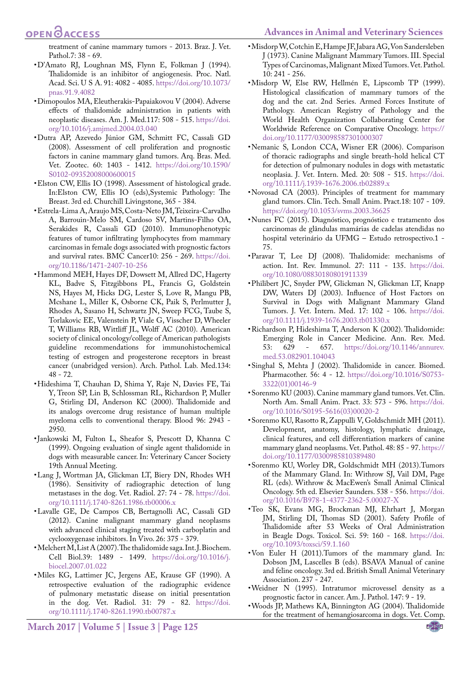#### <span id="page-5-12"></span>**Advances in Animal and Veterinary Sciences**

# **OPEN**<sub>d</sub>

treatment of canine mammary tumors - 2013. Braz. J. Vet. Pathol.7: 38 - 69.

- • D'Amato RJ, Loughnan MS, Flynn E, Folkman J (1994). Thalidomide is an inhibitor of angiogenesis. Proc. Natl. Acad. Sci. U S A. 91: 4082 - 4085. [https://doi.org/10.1073/](https://doi.org/10.1073/pnas.91.9.4082) [pnas.91.9.4082](https://doi.org/10.1073/pnas.91.9.4082)
- <span id="page-5-4"></span>• Dimopoulos MA, Eleutherakis-Papaiakovou V (2004). Adverse effects of thalidomide administration in patients with neoplastic diseases. Am. J. Med.117: 508 - 515[. https://doi.]( https://doi.org/10.1016/j.amjmed.2004.03.040) [org/10.1016/j.amjmed.2004.03.040]( https://doi.org/10.1016/j.amjmed.2004.03.040)
- • Dutra AP, Azevedo Júnior GM, Schmitt FC, Cassali GD (2008). Assessment of cell proliferation and prognostic factors in canine mammary gland tumors. Arq. Bras. Med. Vet. Zootec. 60: 1403 - 1412. [https://doi.org/10.1590/](https://doi.org/10.1590/S0102-09352008000600015) [S0102-09352008000600015](https://doi.org/10.1590/S0102-09352008000600015)
- <span id="page-5-7"></span>• Elston CW, Ellis IO (1998). Assessment of histological grade. In:Elston CW, Ellis IO (eds),Systemic Pathology: The Breast. 3rd ed. Churchill Livingstone, 365 - 384.
- <span id="page-5-8"></span>• Estrela-Lima A, Araujo MS, Costa-Neto JM, Teixeira-Carvalho A, Barrouin-Melo SM, Cardoso SV, Martins-Filho OA, Serakides R, Cassali GD (2010). Immunophenotypic features of tumor infiltrating lymphocytes from mammary carcinomas in female dogs associated with prognostic factors and survival rates. BMC Cancer10: 256 - 269. [https://doi.](https://doi.org/10.1186/1471-2407-10-256) [org/10.1186/1471-2407-10-256](https://doi.org/10.1186/1471-2407-10-256)
- • Hammond MEH, Hayes DF, Dowsett M, Allred DC, Hagerty KL, Badve S, Fitzgibbons PL, Francis G, Goldstein NS, Hayes M, Hicks DG, Lester S, Love R, Mangu PB, Mcshane L, Miller K, Osborne CK, Paik S, Perlmutter J, Rhodes A, Sasano H, Schwartz JN, Sweep FCG, Taube S, Torlakovic EE, Valenstein P, Viale G, Visscher D, Wheeler T, Williams RB, Wittliff JL, Wolff AC (2010). American society of clinical oncology/college of American pathologists guideline recommendations for immunohistochemical testing of estrogen and progesterone receptors in breast cancer (unabridged version). Arch. Pathol. Lab. Med.134: 48 - 72.
- <span id="page-5-15"></span>• Hideshima T, Chauhan D, Shima Y, Raje N, Davies FE, Tai Y, Treon SP, Lin B, Schlossman RL, Richardson P, Muller G, Stirling DI, Anderson KC (2000). Thalidomide and its analogs overcome drug resistance of human multiple myeloma cells to conventional therapy. Blood 96: 2943 - 2950.
- <span id="page-5-17"></span>• Jankowski M, Fulton L, Sheafor S, Prescott D, Khanna C (1999). Ongoing evaluation of single agent thalidomide in dogs with measurable cancer. In: Veterinary Cancer Society 19th Annual Meeting.
- <span id="page-5-11"></span>• Lang J, Wortman JA, Glickman LT, Biery DN, Rhodes WH (1986). Sensitivity of radiographic detection of lung metastases in the dog. Vet. Radiol. 27: 74 - 78. [https://doi.](https://doi.org/10.1111/j.1740-8261.1986.tb00006.x) [org/10.1111/j.1740-8261.1986.tb00006.x](https://doi.org/10.1111/j.1740-8261.1986.tb00006.x)
- • Lavalle GE, De Campos CB, Bertagnolli AC, Cassali GD (2012). Canine malignant mammary gland neoplasms with advanced clinical staging treated with carboplatin and cyclooxygenase inhibitors. In Vivo. 26: 375 - 379.
- <span id="page-5-5"></span>• Melchert M, List A (2007). The thalidomide saga. Int. J. Biochem. Cell Biol.39: 1489 - 1499. [https://doi.org/10.1016/j.](https://doi.org/10.1016/j.biocel.2007.01.022) [biocel.2007.01.022](https://doi.org/10.1016/j.biocel.2007.01.022)
- <span id="page-5-9"></span>• Miles KG, Lattimer JC, Jergens AE, Krause GF (1990). A retrospective evaluation of the radiographic evidence of pulmonary metastatic disease on initial presentation in the dog. Vet. Radiol. 31: 79 - 82. [https://doi.](https://doi.org/10.1111/j.1740-8261.1990.tb00787.x) [org/10.1111/j.1740-8261.1990.tb00787.x](https://doi.org/10.1111/j.1740-8261.1990.tb00787.x)
- • Misdorp W, Cotchin E, Hampe JF, Jabara AG, Von Sandersleben J (1973). Canine Malignant Mammary Tumors. III. Special Types of Carcinomas, Malignant Mixed Tumors. Vet. Pathol. 10: 241 - 256.
- • Misdorp W, Else RW, Hellmén E, Lipscomb TP (1999). Histological classification of mammary tumors of the dog and the cat. 2nd Series. Armed Forces Institute of Pathology. American Registry of Pathology and the World Health Organization Collaborating Center for Worldwide Reference on Comparative Oncology. [https://](https://doi.org/10.1177/030098587301000307) [doi.org/10.1177/030098587301000307](https://doi.org/10.1177/030098587301000307)
- <span id="page-5-10"></span>• Nemanic S, London CCA, Wisner ER (2006). Comparison of thoracic radiographs and single breath-hold helical CT for detection of pulmonary nodules in dogs with metastatic neoplasia. J. Vet. Intern. Med. 20: 508 - 515. [https://doi.](https://doi.org/10.1111/j.1939-1676.2006.tb02889.x) [org/10.1111/j.1939-1676.2006.tb02889.x](https://doi.org/10.1111/j.1939-1676.2006.tb02889.x)
- <span id="page-5-1"></span>• Novosad CA (2003). Principles of treatment for mammary gland tumors. Clin. Tech. Small Anim. Pract.18: 107 - 109. <https://doi.org/10.1053/svms.2003.36625>
- • Nunes FC (2015). Diagnóstico, prognóstico e tratamento dos carcinomas de glândulas mamárias de cadelas atendidas no hospital veterinário da UFMG – Estudo retrospectivo.1 - 75.
- <span id="page-5-2"></span>• Paravar T, Lee DJ (2008). Thalidomide: mechanisms of action. Int. Rev. Immunol. 27: 111 - 135. [https://doi.](https://doi.org/10.1080/08830180801911339) [org/10.1080/08830180801911339](https://doi.org/10.1080/08830180801911339)
- <span id="page-5-19"></span>• Philibert JC, Snyder PW, Glickman N, Glickman LT, Knapp DW, Waters DJ (2003). Influence of Host Factors on Survival in Dogs with Malignant Mammary Gland Tumors. J. Vet. Intern. Med. 17: 102 - 106. [https://doi.](https://doi.org/10.1111/j.1939-1676.2003.tb01330.x) [org/10.1111/j.1939-1676.2003.tb01330.x](https://doi.org/10.1111/j.1939-1676.2003.tb01330.x)
- <span id="page-5-14"></span>• Richardson P, Hideshima T, Anderson K (2002). Thalidomide: Emerging Role in Cancer Medicine. Ann. Rev. Med. 53: 629 - 657. [https://doi.org/10.1146/annurev.](https://doi.org/10.1146/annurev.med.53.082901.104043) [med.53.082901.104043](https://doi.org/10.1146/annurev.med.53.082901.104043)
- <span id="page-5-3"></span>• Singhal S, Mehta J (2002). Thalidomide in cancer. Biomed. Pharmacother. 56: 4 - 12. [https://doi.org/10.1016/S0753-](https://doi.org/10.1016/S0753-3322(01)00146-9) [3322\(01\)00146-9](https://doi.org/10.1016/S0753-3322(01)00146-9)
- <span id="page-5-0"></span>• Sorenmo KU (2003). Canine mammary gland tumors. Vet. Clin. North Am. Small Anim. Pract. 33: 573 - 596. [https://doi.](https://doi.org/10.1016/S0195-5616(03)00020-2) [org/10.1016/S0195-5616\(03\)00020-2](https://doi.org/10.1016/S0195-5616(03)00020-2)
- • Sorenmo KU, Rasotto R, Zappulli V, Goldschmidt MH (2011). Development, anatomy, histology, lymphatic drainage, clinical features, and cell differentiation markers of canine mammary gland neoplasms. Vet. Pathol. 48: 85 - 97. [https://](https://doi.org/10.1177/0300985810389480) [doi.org/10.1177/0300985810389480](https://doi.org/10.1177/0300985810389480)
- <span id="page-5-6"></span>• Sorenmo KU, Worley DR, Goldschmidt MH (2013).Tumors of the Mammary Gland. In: Withrow SJ, Vail DM, Page RL (eds). Withrow & MacEwen's Small Animal Clinical Oncology. 5th ed. Elsevier Saunders. 538 - 556. [https://doi.](https://doi.org/10.1016/B978-1-4377-2362-5.00027-X) [org/10.1016/B978-1-4377-2362-5.00027-X](https://doi.org/10.1016/B978-1-4377-2362-5.00027-X)
- <span id="page-5-16"></span>• Teo SK, Evans MG, Brockman MJ, Ehrhart J, Morgan JM, Stirling DI, Thomas SD (2001). Safety Profile of Thalidomide after 53 Weeks of Oral Administration in Beagle Dogs. Toxicol. Sci. 59: 160 - 168. [https://doi.](https://doi.org/10.1093/toxsci/59.1.160) [org/10.1093/toxsci/59.1.160](https://doi.org/10.1093/toxsci/59.1.160)
- <span id="page-5-13"></span>• Von Euler H (2011).Tumors of the mammary gland. In: Dobson JM, Lascelles B (eds). BSAVA Manual of canine and feline oncology. 3rd ed. British Small Animal Veterinary Association. 237 - 247.
- • Weidner N (1995). Intratumor microvessel density as a prognostic factor in cancer. Am. J. Pathol. 147: 9 - 19.
- <span id="page-5-18"></span>• Woods JP, Mathews KA, Binnington AG (2004). Thalidomide for the treatment of hemangiosarcoma in dogs. Vet. Comp.

**March 2017 | Volume 5 | Issue 3 | Page 125**